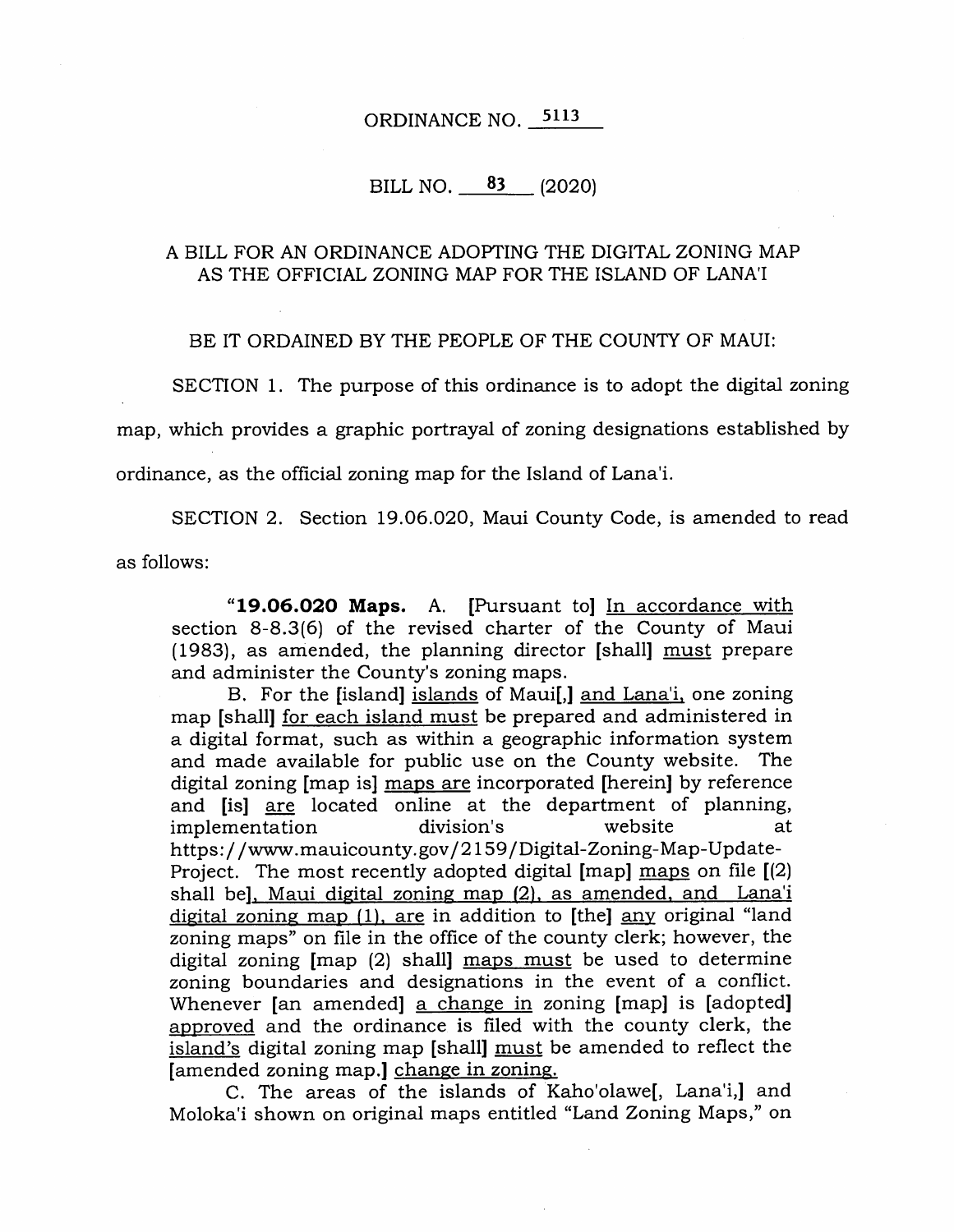# ORDINANCE NO. **<sup>5113</sup>**

## BILL NO.  $83$  (2020)

### A BILL FOR AN ORDINANCE ADOPTING THE DIGITAL ZONING MAP AS THE OFFICIAL ZONING MAP FOR THE ISLAND OF LANA'I

BE IT ORDAINED BY THE PEOPLE OF THE COUNTY OF MAUI:

SECTION 1. The purpose of this ordinance is to adopt the digital zoning map, which provides a graphic portrayal of zoning designations established by ordinance, as the official zoning map for the Island of Lana'i.

SECTION 2. Section 19.06.020, Maui County Code, is amended to read as follows:

**"19.06.020 Maps.** A. [Pursuant to] In accordance with section 8-8.3(6) of the revised charter of the County of Maui (1983), as amended, the planning director [shall] must prepare and administer the County's zoning maps.

B. For the [island] islands of Maui[,] and Lana'i, one zoning map [shall] for each island must be prepared and administered in a digital format, such as within a geographic information system and made available for public use on the County website. The digital zoning [map is] maps are incorporated [herein] by reference and [is] are located online at the department of planning, implementation division's website at https: / /www. mauicounty. gov/ 2159 / Digital-Zoning-Map-Update-Project. The most recently adopted digital [map] maps on file [(2) shall be], Maui digital zoning map (2), as amended, and Lana'i digital zoning map (1), are in addition to [the] any original "land zoning maps" on file in the office of the county clerk; however, the digital zoning [map (2) shall] maps must be used to determine zoning boundaries and designations in the event of a conflict. Whenever [an amended] a change in zoning [map] is [adopted] approved and the ordinance is filed with the county clerk, the island's digital zoning map [shall] must be amended to reflect the [amended zoning map.] change in zoning.

C. The areas of the islands of Kaho'olawe, Lana'i, and Moloka'i shown on original maps entitled "Land Zoning Maps," on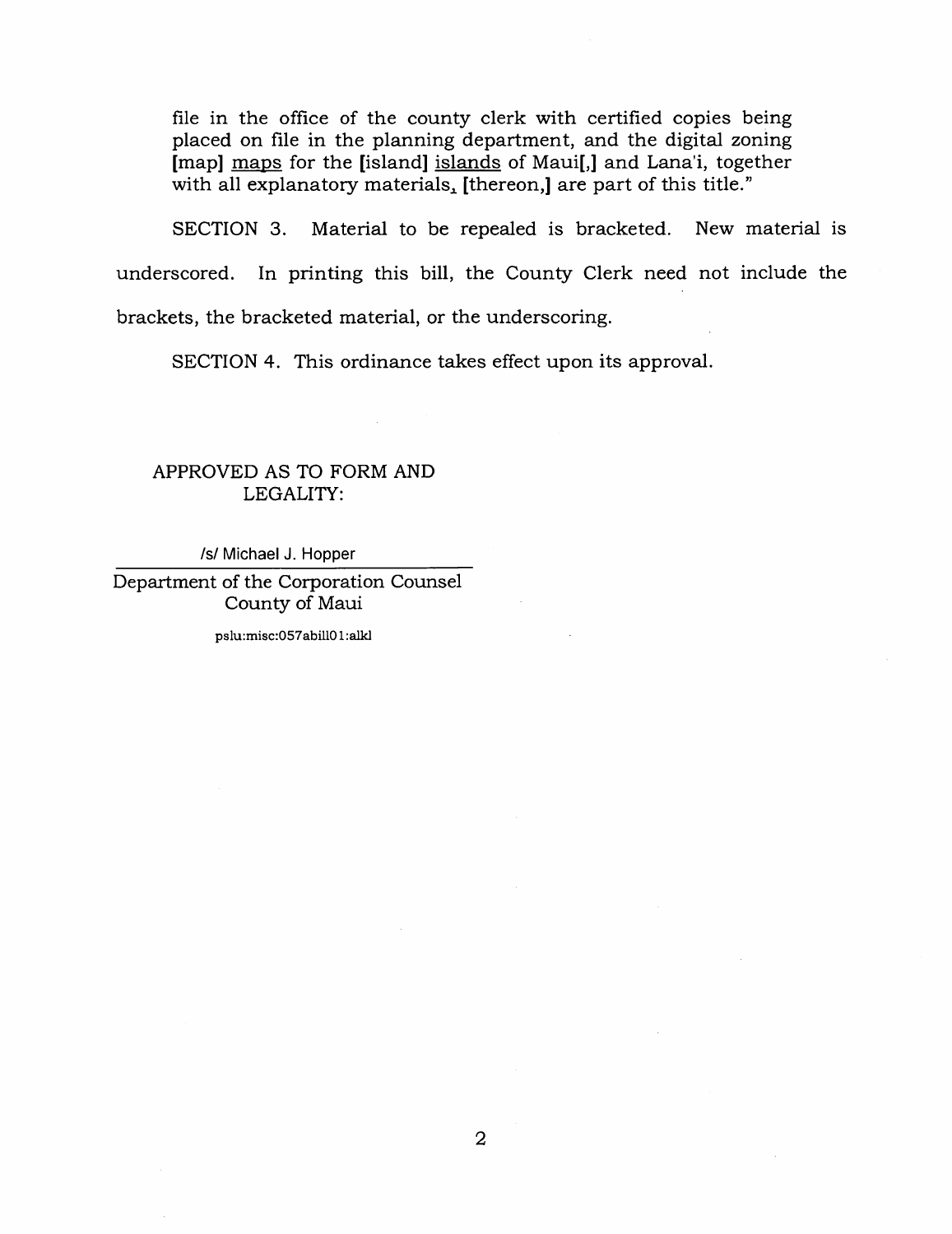file in the office of the county clerk with certified copies being placed on file in the planning department, and the digital zoning [map] maps for the [island] islands of Maui[,] and Lana'i, together with all explanatory materials, [thereon,] are part of this title."

SECTION 3. Material to be repealed is bracketed. New material is underscored. In printing this bill, the County Clerk need not include the brackets, the bracketed material, or the underscoring.

SECTION 4. This ordinance takes effect upon its approval.

### APPROVED AS TO FORM AND LEGALITY:

/s/ Michael J. Hopper

Department of the Corporation Counsel County of Maui

pslu:misc:057abill01:alld